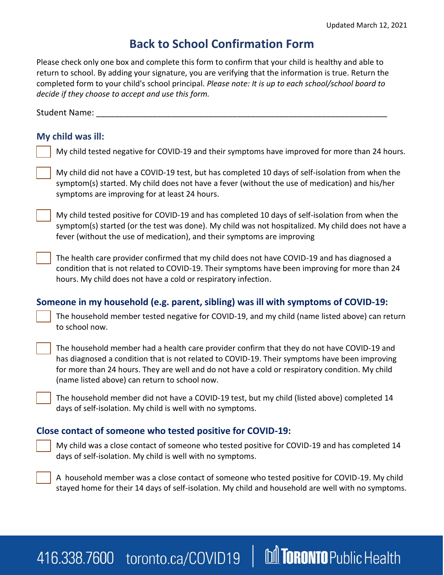# **Back to School Confirmation Form**

Please check only one box and complete this form to confirm that your child is healthy and able to return to school. By adding your signature, you are verifying that the information is true. Return the completed form to your child's school principal. *Please note: It is up to each school/school board to decide if they choose to accept and use this form.*

| <b>Student Name:</b>                                                              |                                                                                                                                                                                                                                                                                                                                                 |  |
|-----------------------------------------------------------------------------------|-------------------------------------------------------------------------------------------------------------------------------------------------------------------------------------------------------------------------------------------------------------------------------------------------------------------------------------------------|--|
| My child was ill:                                                                 |                                                                                                                                                                                                                                                                                                                                                 |  |
|                                                                                   | My child tested negative for COVID-19 and their symptoms have improved for more than 24 hours.                                                                                                                                                                                                                                                  |  |
|                                                                                   | My child did not have a COVID-19 test, but has completed 10 days of self-isolation from when the<br>symptom(s) started. My child does not have a fever (without the use of medication) and his/her<br>symptoms are improving for at least 24 hours.                                                                                             |  |
|                                                                                   | My child tested positive for COVID-19 and has completed 10 days of self-isolation from when the<br>symptom(s) started (or the test was done). My child was not hospitalized. My child does not have a<br>fever (without the use of medication), and their symptoms are improving                                                                |  |
|                                                                                   | The health care provider confirmed that my child does not have COVID-19 and has diagnosed a<br>condition that is not related to COVID-19. Their symptoms have been improving for more than 24<br>hours. My child does not have a cold or respiratory infection.                                                                                 |  |
| Someone in my household (e.g. parent, sibling) was ill with symptoms of COVID-19: |                                                                                                                                                                                                                                                                                                                                                 |  |
|                                                                                   | The household member tested negative for COVID-19, and my child (name listed above) can return<br>to school now.                                                                                                                                                                                                                                |  |
|                                                                                   | The household member had a health care provider confirm that they do not have COVID-19 and<br>has diagnosed a condition that is not related to COVID-19. Their symptoms have been improving<br>for more than 24 hours. They are well and do not have a cold or respiratory condition. My child<br>(name listed above) can return to school now. |  |
|                                                                                   | The household member did not have a COVID-19 test, but my child (listed above) completed 14<br>days of self-isolation. My child is well with no symptoms.                                                                                                                                                                                       |  |
| Close contact of someone who tested positive for COVID-19:                        |                                                                                                                                                                                                                                                                                                                                                 |  |
|                                                                                   | My child was a close contact of someone who tested positive for COVID-19 and has completed 14<br>days of self-isolation. My child is well with no symptoms.                                                                                                                                                                                     |  |
|                                                                                   | A household member was a close contact of someone who tested positive for COVID-19. My child<br>stayed home for their 14 days of self-isolation. My child and household are well with no symptoms.                                                                                                                                              |  |

#### **M TORONTO** Public Health 1 416.338.7600 toronto.ca/COVID19